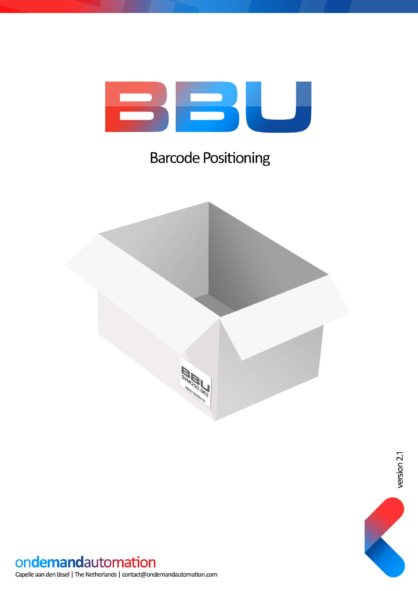

### **Barcode Positioning**





#### ondemandautomation

Capelle aan den IJssel | The Netherlands | contact@ondemandautomation.com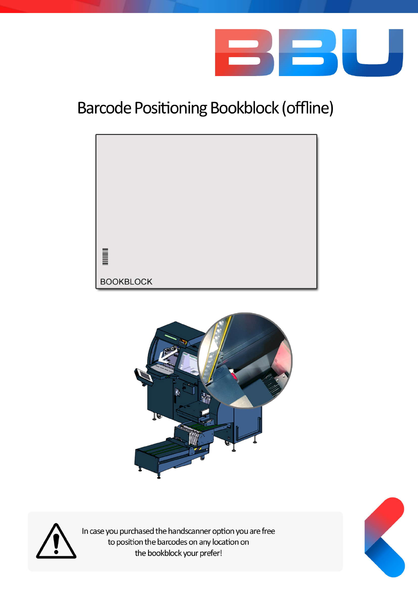

# Barcode Positioning Bookblock (offline)







ln case you purchased the handscanner option you are free to position the barcodes on any location on the bookblock your prefer!

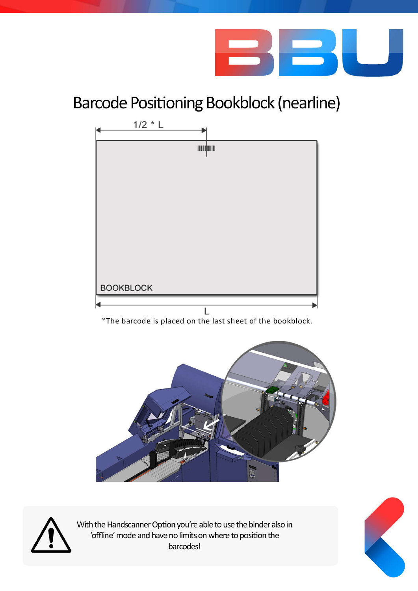

## Barcode Positioning Bookblock (nearline)



![](_page_2_Picture_3.jpeg)

With the Handscanner Option you're able to use the binder also in 'offline' mode and have no limits on where to position the barcodes!

![](_page_2_Picture_5.jpeg)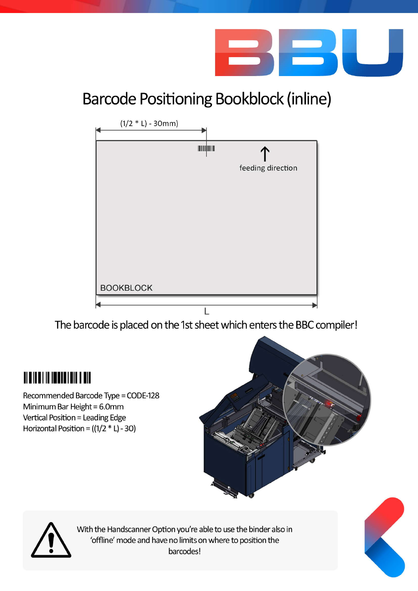![](_page_3_Picture_0.jpeg)

# Barcode Positioning Bookblock (inline)

![](_page_3_Figure_2.jpeg)

The barcode is placed on the 1st sheet which enters the BBC compiler!

## <u> III yildi ili ishahidi milli yildi</u>

Recommended Barcode Type = CODE-128 Minimum Bar Height = 6.0mm Vertical Position = Leading Edge Horizontal Position =  $((1/2 * L) - 30)$ 

![](_page_3_Picture_6.jpeg)

![](_page_3_Picture_7.jpeg)

With the Handscanner Option you're able to use the binder also in 'offline' mode and have no limits on where to position the barcodes!

![](_page_3_Picture_9.jpeg)